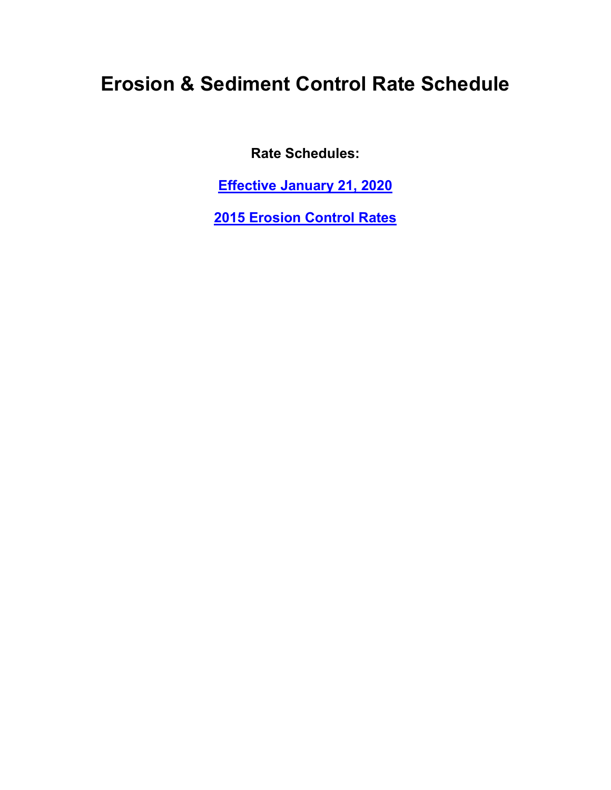## **Erosion & Sediment Control Rate Schedule**

**Rate Schedules:**

**[Effective January 21, 2020](#page-1-0)**

**[2015 Erosion Control Rates](#page-2-0)**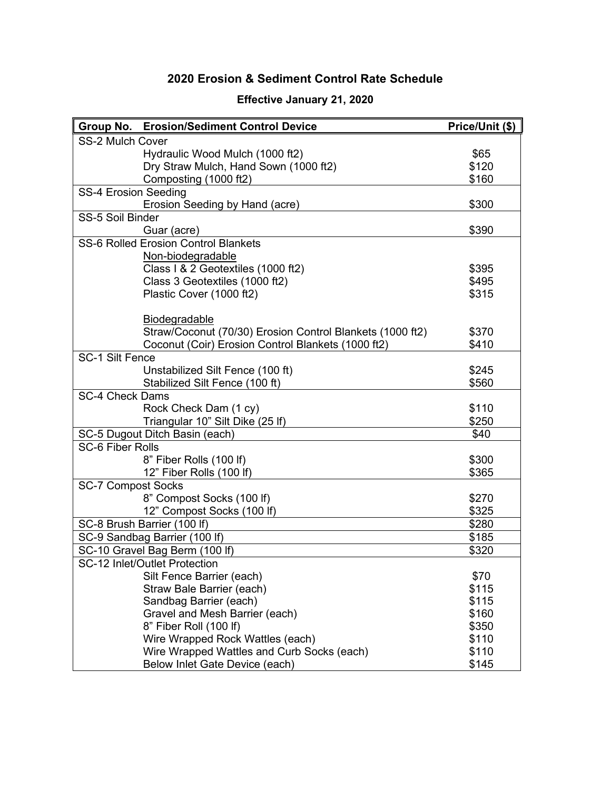## **2020 Erosion & Sediment Control Rate Schedule**

<span id="page-1-0"></span>

| <b>Group No. Erosion/Sediment Control Device</b>          | Price/Unit (\$) |
|-----------------------------------------------------------|-----------------|
| <b>SS-2 Mulch Cover</b>                                   |                 |
| Hydraulic Wood Mulch (1000 ft2)                           | \$65            |
| Dry Straw Mulch, Hand Sown (1000 ft2)                     | \$120           |
| Composting (1000 ft2)                                     | \$160           |
| <b>SS-4 Erosion Seeding</b>                               |                 |
| Erosion Seeding by Hand (acre)                            | \$300           |
| SS-5 Soil Binder                                          |                 |
| Guar (acre)                                               | \$390           |
| SS-6 Rolled Erosion Control Blankets                      |                 |
| Non-biodegradable                                         |                 |
| Class I & 2 Geotextiles (1000 ft2)                        | \$395           |
| Class 3 Geotextiles (1000 ft2)                            | \$495           |
| Plastic Cover (1000 ft2)                                  | \$315           |
|                                                           |                 |
| <b>Biodegradable</b>                                      |                 |
| Straw/Coconut (70/30) Erosion Control Blankets (1000 ft2) | \$370           |
| Coconut (Coir) Erosion Control Blankets (1000 ft2)        | \$410           |
| SC-1 Silt Fence                                           |                 |
| Unstabilized Silt Fence (100 ft)                          | \$245           |
| Stabilized Silt Fence (100 ft)                            | \$560           |
| SC-4 Check Dams                                           |                 |
| Rock Check Dam (1 cy)                                     | \$110           |
| Triangular 10" Silt Dike (25 lf)                          | \$250           |
| SC-5 Dugout Ditch Basin (each)                            | \$40            |
| <b>SC-6 Fiber Rolls</b>                                   |                 |
| 8" Fiber Rolls (100 lf)                                   | \$300           |
| 12" Fiber Rolls (100 lf)                                  | \$365           |
| <b>SC-7 Compost Socks</b>                                 |                 |
| 8" Compost Socks (100 lf)                                 | \$270           |
| 12" Compost Socks (100 lf)                                | \$325           |
| SC-8 Brush Barrier (100 lf)                               | \$280           |
| SC-9 Sandbag Barrier (100 lf)                             | \$185           |
| SC-10 Gravel Bag Berm (100 lf)                            | \$320           |
| SC-12 Inlet/Outlet Protection                             |                 |
| Silt Fence Barrier (each)                                 | \$70            |
| Straw Bale Barrier (each)                                 | \$115           |
| Sandbag Barrier (each)                                    | \$115           |
| Gravel and Mesh Barrier (each)                            | \$160           |
| 8" Fiber Roll (100 lf)                                    | \$350           |
| Wire Wrapped Rock Wattles (each)                          | \$110           |
| Wire Wrapped Wattles and Curb Socks (each)                | \$110           |
| Below Inlet Gate Device (each)                            | \$145           |

## **Effective January 21, 2020**